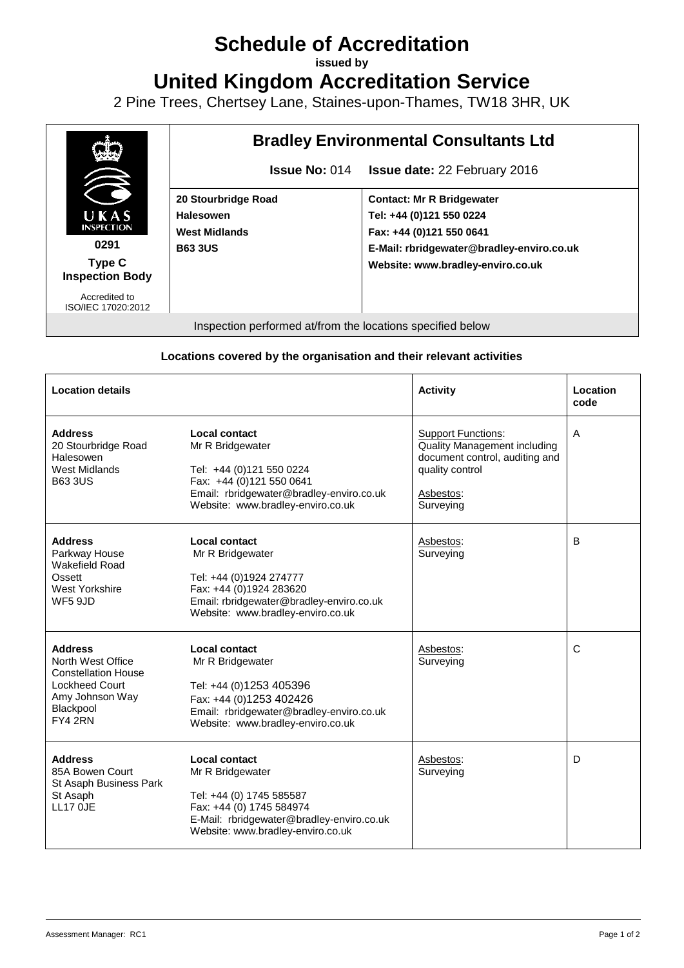## **Schedule of Accreditation**

**issued by**

**United Kingdom Accreditation Service**

2 Pine Trees, Chertsey Lane, Staines-upon-Thames, TW18 3HR, UK



## **Locations covered by the organisation and their relevant activities**

| <b>Location details</b>                                                                                                               |                                                                                                                                                                                    | <b>Activity</b>                                                                                                                                 | Location<br>code |
|---------------------------------------------------------------------------------------------------------------------------------------|------------------------------------------------------------------------------------------------------------------------------------------------------------------------------------|-------------------------------------------------------------------------------------------------------------------------------------------------|------------------|
| <b>Address</b><br>20 Stourbridge Road<br>Halesowen<br>West Midlands<br><b>B63 3US</b>                                                 | Local contact<br>Mr R Bridgewater<br>Tel: +44 (0)121 550 0224<br>Fax: +44 (0)121 550 0641<br>Email: rbridgewater@bradley-enviro.co.uk<br>Website: www.bradley-enviro.co.uk         | <b>Support Functions:</b><br><b>Quality Management including</b><br>document control, auditing and<br>quality control<br>Asbestos:<br>Surveying | A                |
| <b>Address</b><br>Parkway House<br>Wakefield Road<br>Ossett<br><b>West Yorkshire</b><br><b>WF5 9JD</b>                                | Local contact<br>Mr R Bridgewater<br>Tel: +44 (0)1924 274777<br>Fax: +44 (0)1924 283620<br>Email: rbridgewater@bradley-enviro.co.uk<br>Website: www.bradley-enviro.co.uk           | Asbestos:<br>Surveying                                                                                                                          | B                |
| <b>Address</b><br>North West Office<br><b>Constellation House</b><br><b>Lockheed Court</b><br>Amy Johnson Way<br>Blackpool<br>FY4 2RN | Local contact<br>Mr R Bridgewater<br>Tel: +44 (0)1253 405396<br>Fax: +44 (0)1253 402426<br>Email: rbridgewater@bradley-enviro.co.uk<br>Website: www.bradley-enviro.co.uk           | Asbestos:<br>Surveying                                                                                                                          | C                |
| <b>Address</b><br>85A Bowen Court<br>St Asaph Business Park<br>St Asaph<br><b>LL17 OJE</b>                                            | <b>Local contact</b><br>Mr R Bridgewater<br>Tel: +44 (0) 1745 585587<br>Fax: +44 (0) 1745 584974<br>E-Mail: rbridgewater@bradley-enviro.co.uk<br>Website: www.bradley-enviro.co.uk | Asbestos:<br>Surveying                                                                                                                          | D                |